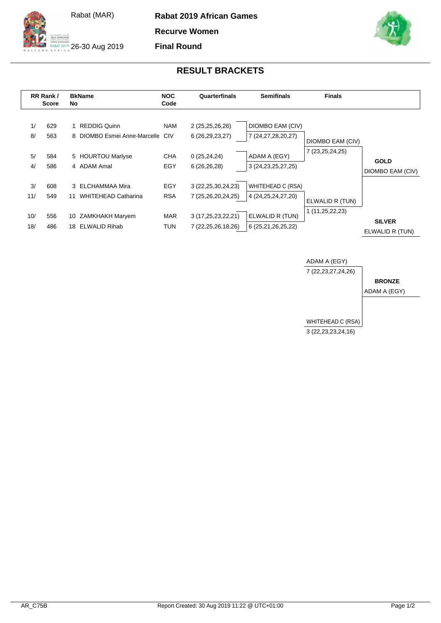



ALGANIS<br>AT 2019 26-30 Aug 2019

**Recurve Women**

**Final Round**



## **RESULT BRACKETS**